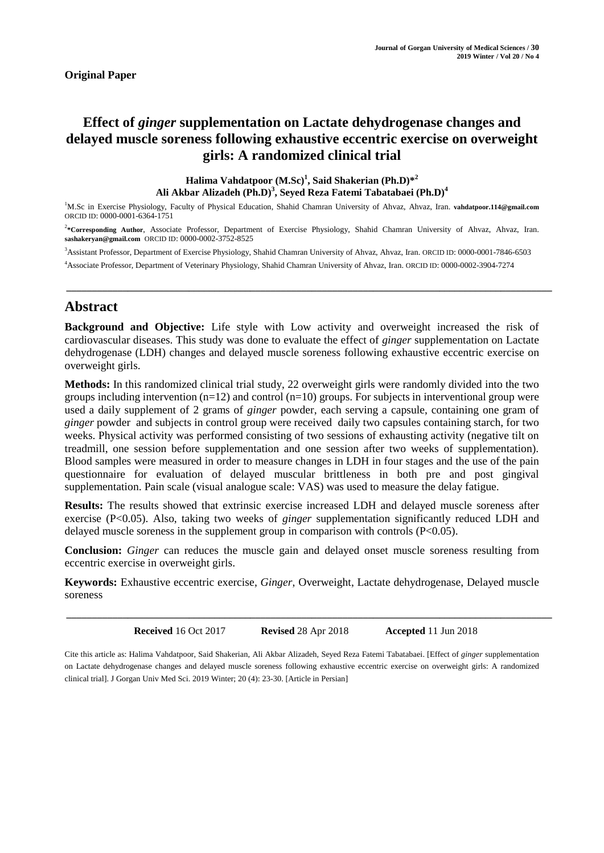# **Effect of** *ginger* **supplementation on Lactate dehydrogenase changes and delayed muscle soreness following exhaustive eccentric exercise on overweight girls: A randomized clinical trial**

**Halima Vahdatpoor (M.Sc)<sup>1</sup> , Said Shakerian (Ph.D)\*<sup>2</sup> Ali Akbar Alizadeh (Ph.D)<sup>3</sup> , Seyed Reza Fatemi Tabatabaei (Ph.D)<sup>4</sup>**

<sup>1</sup>M.Sc in Exercise Physiology, Faculty of Physical Education, Shahid Chamran University of Ahvaz, Ahvaz, Iran. **vahdatpoor.114@gmail.com** ORCID ID: 0000-0001-6364-1751

<sup>2</sup>\*Corresponding Author, Associate Professor, Department of Exercise Physiology, Shahid Chamran University of Ahvaz, Ahvaz, Iran. **sashakeryan@gmail.com** ORCID ID: 0000-0002-3752-8525

**\_\_\_\_\_\_\_\_\_\_\_\_\_\_\_\_\_\_\_\_\_\_\_\_\_\_\_\_\_\_\_\_\_\_\_\_\_\_\_\_\_\_\_\_\_\_\_\_\_\_\_\_\_\_\_\_\_\_\_\_\_\_\_\_\_\_\_\_\_\_\_\_\_\_\_\_\_\_\_\_\_\_\_\_\_\_\_\_\_\_\_\_\_\_\_**

<sup>3</sup>Assistant Professor, Department of Exercise Physiology, Shahid Chamran University of Ahvaz, Ahvaz, Iran. ORCID ID: 0000-0001-7846-6503

<sup>4</sup>Associate Professor, Department of Veterinary Physiology, Shahid Chamran University of Ahvaz, Iran. ORCID ID: 0000-0002-3904-7274

# **Abstract**

**Background and Objective:** Life style with Low activity and overweight increased the risk of cardiovascular diseases. This study was done to evaluate the effect of *ginger* supplementation on Lactate dehydrogenase (LDH) changes and delayed muscle soreness following exhaustive eccentric exercise on overweight girls.

**Methods:** In this randomized clinical trial study, 22 overweight girls were randomly divided into the two groups including intervention  $(n=12)$  and control  $(n=10)$  groups. For subjects in interventional group were used a daily supplement of 2 grams of *ginger* powder, each serving a capsule, containing one gram of *ginger* powder and subjects in control group were received daily two capsules containing starch, for two weeks. Physical activity was performed consisting of two sessions of exhausting activity (negative tilt on treadmill, one session before supplementation and one session after two weeks of supplementation). Blood samples were measured in order to measure changes in LDH in four stages and the use of the pain questionnaire for evaluation of delayed muscular brittleness in both pre and post gingival supplementation. Pain scale (visual analogue scale: VAS) was used to measure the delay fatigue.

**Results:** The results showed that extrinsic exercise increased LDH and delayed muscle soreness after exercise (P<0.05). Also, taking two weeks of *ginger* supplementation significantly reduced LDH and delayed muscle soreness in the supplement group in comparison with controls (P<0.05).

**Conclusion:** *Ginger* can reduces the muscle gain and delayed onset muscle soreness resulting from eccentric exercise in overweight girls.

**Keywords:** Exhaustive eccentric exercise, *Ginger*, Overweight, Lactate dehydrogenase, Delayed muscle soreness

**Received** 16 Oct 2017 **Revised** 28 Apr 2018 **Accepted** 11 Jun 2018

**\_\_\_\_\_\_\_\_\_\_\_\_\_\_\_\_\_\_\_\_\_\_\_\_\_\_\_\_\_\_\_\_\_\_\_\_\_\_\_\_\_\_\_\_\_\_\_\_\_\_\_\_\_\_\_\_\_\_\_\_\_\_\_\_\_\_\_\_\_\_\_\_\_\_\_\_\_\_\_\_\_\_\_\_\_\_\_\_\_\_\_\_\_\_\_**

Cite this article as: Halima Vahdatpoor, Said Shakerian, Ali Akbar Alizadeh, Seyed Reza Fatemi Tabatabaei. [Effect of *ginger* supplementation on Lactate dehydrogenase changes and delayed muscle soreness following exhaustive eccentric exercise on overweight girls: A randomized clinical trial]. J Gorgan Univ Med Sci. 2019 Winter; 20 (4): 23-30. [Article in Persian]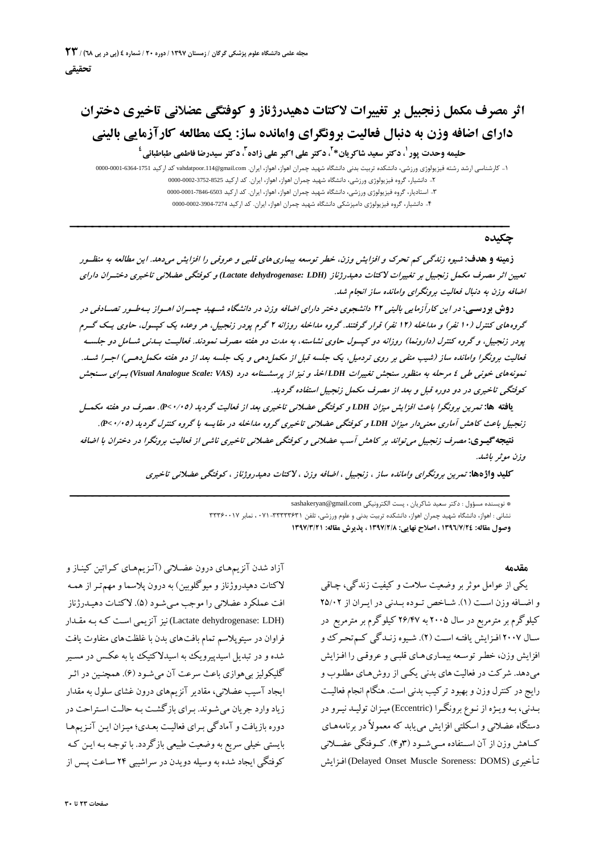# **اثر مصرف مکمل زنجبیل بر تغییرات لاکتات دهیدرژناز وکوفتگی عضلانی تاخیري دختران داراي اضافه وزن به دنبال فعالیت برونگراي وامانده ساز: یک مطالعه کارآزمایی بالینی** حليمه وحدت پور <sup>ل</sup>، دكتر سعيد شاكريان\*<sup>7</sup>، دكتر على اكبر على زاده ّ، دكتر سيدرضا فاطمى طباطبائى <sup>؛</sup>

-1 کارشناسی ارشد رشته فیزیولوژي ورزشی، دانشکده تربیت بدنی دانشگاه شهید چمران اهواز، اهواز، ایران. com.gmail@.114vahdatpoor کد ارکید 0000-0001-6364-1751 -2 دانشیار، گروه فیزیولوژي ورزشی، دانشگاه شهید چمران اهواز، اهواز، ایران. کد ارکید 0000-0002-3752-8525 -3 استادیار، گروه فیزیولوژي ورزشی، دانشگاه شهید چمران اهواز، اهواز، ایران. کد ارکید 0000-0001-7846-6503 **\_\_\_\_\_\_\_\_\_\_\_\_\_\_\_\_\_\_\_\_\_\_\_\_\_\_\_\_\_\_\_\_ \_\_\_\_\_\_\_\_\_\_\_\_\_\_\_\_\_\_\_\_\_\_\_\_\_\_\_\_\_** -4 دانشیار، گروه فیزیولوژي دامپزشکی دانشگاه شهید چمران اهواز، ایران. کد ارکید 0000-0002-3904-7274

# **چکیده**

زهینه و هدف: شیوه زندگی کم تحرک و افزایش وزن، خطر توسعه بیماری های قلبی و عروقی را افزایش میدهد. این مطالعه به منظـور تعیین اثر مصرف مکمل زنجبیل بر تغییرات لاکتات دهیدرژناز (Lactate dehydrogenase: LDH) و کوفتگی عضلانی تاخیری دختـران دارای *اضافه وزن به دنبال فعالیت برونگراي وامانده ساز انجام شد.*

دوش بودسهی: در این کارآزمایی بالینی ۲۲ دانشجوی دختر دارای اضافه وزن در دانشگاه شهید چمـران امـواز بـهطـور تصـادفی در گروه های کنترل (۱۰ نفر) و مداخله (۱۲ نفر) قرار گرفتند. گروه مداخله روزانه ۲ گرم پودر زنجبیل، هر وعده یک کیسول، حاوی یـک گـرم بودر زنجبیل، و گروه کنترل (دارونما) روزانه دو کیسول حاوی نشاسته، به مدت دو هفته مصرف نمودند. فعالیت بیدنی شیامل دو جلسیه فعالیت برونگرا وامانده ساز (شیب منفی بر روی تردمیل، یک جلسه قبل از مکمل دهی و یک جلسه بعد از دو هفته مکمل دهـی) اجـرا شـد. .<br>نمونههای خونی طی ٤ مرحله به منظور سنجش تغییرات LDHاخذ و نیز از پرسشــنامه درد (Visual Analogue Scale: VAS) بـرای ســنجش *کوفتگی تاخیري در دو دوره قبل <sup>و</sup> بعد از مصرف مکمل زنجبیل استفاده گردید.*

یافته ها: تمرین برونگرا باعث افزایش میزان LDH و کوفتگی عضلانی تاخیری بعد از فعالیت گردید (۴۷٬۰۵). مصرف دو هفته مکمسل زنجبیل باعث کاهش آماری معنی دار میزان LDH و کوفتگی عضلانی تاخیری گروه مداخله در مقایسه با گروه کنترل گردید (۰/۰۵-. .<br>**نتیجه گیدی:** مصرف زنجبیل می تواند بر کاهش آسب عضلانی و کوفتگی عضلانی تاخیری ناشی از فعالیت برونگرا در دختران با اضافه *وزن موثر باشد.*

**کلید واژهها:** *تمرین برونگراي وامانده ساز ، زنجبیل ، اضافه وزن ، لاکتات دهیدروژناز ، کوفتگی عضلانی تاخیري*

 **\_\_\_\_\_\_\_\_\_\_\_\_\_\_\_\_\_\_\_\_\_\_\_\_\_\_\_\_\_ \_\_\_\_\_\_\_\_\_\_\_\_\_\_\_\_\_\_\_\_\_\_\_\_\_\_\_\_\_\_\_\_**

\* نویسنده مسؤول : دکتر سعید شاکریان ، پست الکترونیکی com.gmail@sashakeryan

نشانی : اهواز، دانشگاه شهید چمران اهواز، دانشکده تربیت بدنی و علوم ورزشی، تلفن 071-33333631 ، نمابر 33360017 **وصول مقاله: 1396/7/24 ، اصلاح نهایی: 1397/2/8 ، پذیرش مقاله: 1397/3/21**

**مقدمه**

یکی از عوامل موثربروضعیت سلامت وکیفیت زندگی، چـاقی و اضـافه وزن اسـت (١). شـاخص تـوده بـلدنی در ایـران از ٢٥/٠٢ کیلوگرم برمترمربع در سال 2005 به 26/47 کیلوگرم برمترمربع در سـال 2007 افـزایش یافتـه اسـت (2). شـیوه زنـدگی کـمتحـرك و افزایش وزن، خطـر توسـعه بیمـاری۵مـای قلبـی و عروقـی را افـزایش میدهد. شرکت در فعالیت های بدنی یکـی از روشهـای مطلـوب و<br>رایج در کنترل وزن و بهبود ترکیب بدنی است. هنگام انجام فعالیـت بـدنی، بـهویـژه از نـوع برونگـرا (Eccentric (میـزان تولیـد نیـرو در دستگاه عضلانی و اسکلتی افزایش مییابد که معمولاً در برنامههـا ي کــاهش وزن از آن اســتفاده مــیشــود (3و4). کــوفتگی عضــلانی یش افـزا) Delayed Onset Muscle Soreness: DOMS) یري تـأخ

آزاد شدن آنزیمهای درون عضـلانی (آنـزیمهـای کـراتین کینـاز و لاکتات دهیدروژنازو میوگلوبین) به درون پلاسماو مهمتـر از همـه افت عملکرد عضلانی را موجب مـ یشـود (5). لاکتـات دهیـدرژناز (LDH :dehydrogenase Lactate (نیز آنزیمی اسـت کـه بـه مقـدار فراوان در سیتوپلاسم تمام بافتهاي بدن با غلظتهاي متفاوت یافت شدهو در تبدیل اسیدپیرویک به اسیدلاکتیک یا به عکـس در مسـیر گلیکولیز بی هوازی باعث سرعت آن می شـود (۶). همچنـین در اثـر ایجاد آسیب عضلانی، مقادیر آنزیمهاي درون غشاي سلول به مقدار زیاد وارد جریان می شـوند. بـرای بازگشـت بـه حالـت اسـتراحت در دوره بازیافت و آمادگی بـرای فعالیـت بعـدی؛ میـزان ایـن آنـزیـمهـا بایستی خیلی سریع به وضعیت طبیعی بازگردد. با توجـه بـه ایـ ن کـه کوفتگی ایجاد شده به وسیله دویدن در سراشیبی ۲۴ سـاعت پـس از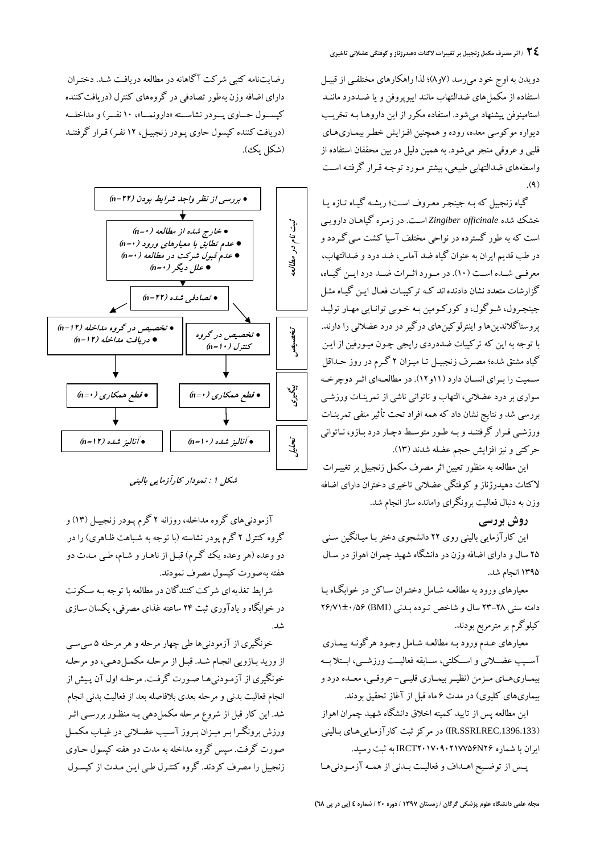دویدن به اوج خود میرسد (٧و٨)؛ لذا راهکارهای مختلفـي از قبيـل استفاده از مکملهاي ضدالتهاب مانند ایبوپروفن ویا ضـددرد ماننـد استامینوفن پیشنهاد میشود. استفاده مکرر از این داروهـا بـه تخریـب دیواره موکوسی معده، رودهو همچنین افـزایش خطـر بیمـاري هـاي قلبی و عروقی منجرمیشود. به همین دلیل در بین محققان استفاده از واسطههاي ضدالتهابی طبیعی، بیشترمـورد توجـه قـرار گرفتـه اسـت  $(9)$ 

گیاه زنجبیل که بـه جینجـر معـروف اسـت ؛ ریشـ ه گیـاه تـازه یـا خشک شده *officinale Zingiber* اسـت . در زمـره گیاهـان دارویـی است که به طور گسترده در نواحی مختلف آسیا کشت مـ یگـردد و در طب قدیم ایران به عنوان گیاه ضد آماس، ضد دردو ضدالتهاب، معرفــی شــده اســت (10). در مــورد اثــرات ضــد درد ایــن گیــاه، گزارشات متعدد نشان دادندهاند کـه ترکیبـات فعـال ایـن گیـاه مثـل جینجـرول، شـوگول،و کورکـومین بـه خـوبی توانـایی مهـار تولیـد پروستاگلاندینهاواینترلوکینهاي درگیردر درد عضلانی را دارند. با توجه به این که ترکیبات ضددردي رایجی چـون میـ ورفین از ایـ ن گیاه مشتق شده؛ مصـرف زنجبیـ ل تـا میـ زان 2 گـرم در روز حـداقل ســمیت را بـرای انســان دارد (۱۱و۱۲). در مطالعــهای اثــر دوچرخــه<br>سواری بر درد عضلانی، التهاب و ناتوانی ناشی از تمرینـات ورزشــی بررسی شد ونتایج نشان داد که همه افراد تحت تأثیرمنفی تمرینـات ورزشـی قـرار گرفتنـد وبـه طـور متوسـط دچـار درد بـازو، نـاتوانی حرکتی ونیز افزایش حجم عضله شدند (13).

این مطالعه به منظور تعیین اثرمصرف مکمل زنجبیل برتغییـرات لاکتات دهیدرژنازو کوفتگی عضلانی تاخیري دختران داراي اضافه وزن به دنبال فعالیت برونگراي وامانده ساز انجام شد.

**روش بررسی**<br>این کارآزمایی بالینی روی ۲۲ دانشجوی دختر بـا میـانگین سـنی ۲۵ سال و دارای اضافه وزن در دانشگاه شهید چمران اهواز در سـال 1395 انجام شد.

معیارهای ورود به مطالعـه شـامل دختـران سـاکن در خوابگـاه بـا<br>دامنه سنی ۲۸–۲۳ سال و شاخص تـوده بـدنـی (BMI) ۲۶/۷۱±۰/۵۶ کیلوگرم برمترمربع بودند.

معیارهای عــدم ورود بــه مطالعــه شــامل وجـود هرگونــه بیمـاری<br>آســـیب عضـــلانـی و اســـکلتی، ســابقه فعالیـــت ورزشـــی، ابــتلا بــه بیمــاريهــاي مــزمن (نظیــربیمــاري قلبــی- عروقــی، معــده دردو بیماريهاي کلیوي) در مدت 6 ماه قبل از آغاز تحقیق بودند.

این مطالعه پس از تایید کمیته اخلاق دانشگاه شهید چمران اهواز<br>(IR.SSRI.REC.1396.133) در مرکز ثبت کارآزمـاییهـای بـالینی ایران با شماره 26N2017090217756IRCT به ثبت رسید.

پــس از توضــیح اهــداف وفعالیــت بــدنی از همــه آزمــودنیهــا



*شکل <sup>1</sup> : نمودار کارآزمایی بالینی*

آزمودنیهاى گروه مداخله، روزانه 2 گرم پـودر زنجبیـل (13)و گروه کنترل 2 گرم پودر نشاسته (با توجه به شـباهت ظـاهر ي) را در دو وعده (هر وعده یک گـرم) قبـل از ناهـار و شـام، طـي مـدت دو هفته بهصورت کپسول مصرف نمودند.

شرایط تغذیهاي شرکتکنندگان در مطالعه با توجه بـه سـکونت در خوابگاهویادآوري ثبت 24 ساعته غذاي مصرفی، یکسان سـاز ي

خونگیری از آزمودنیها طی چهار مرحله و هر مرحله ۵ سی سـی ازورید بـازو یی انجـام شـد. قبـل از مرحلـه مکمـل دهـ ی، دو مرحلـه خونگیري از آزمـودنيهـا صـورت گرفت. مرحلـه اول آن پـیش از انجام فعالیت بدنی و مرحله بعدي بلافاصله بعد از فعالیت بدنی انجام شد. این کار قبل از شروع مرحله مکملدهی بـه منظـور بررسـ ی اثـر ورزش برونگـرا بـرمیـزان بـروز آسـیب عضـلانی در غیـاب مکمـل صورت گرفت. سپس گروه مداخله به مدت دو هفته کپسول حـاو ي زنجبیل را مصرف کردند. گروه کنتـرل طـی ایـن مـدت از کپسـول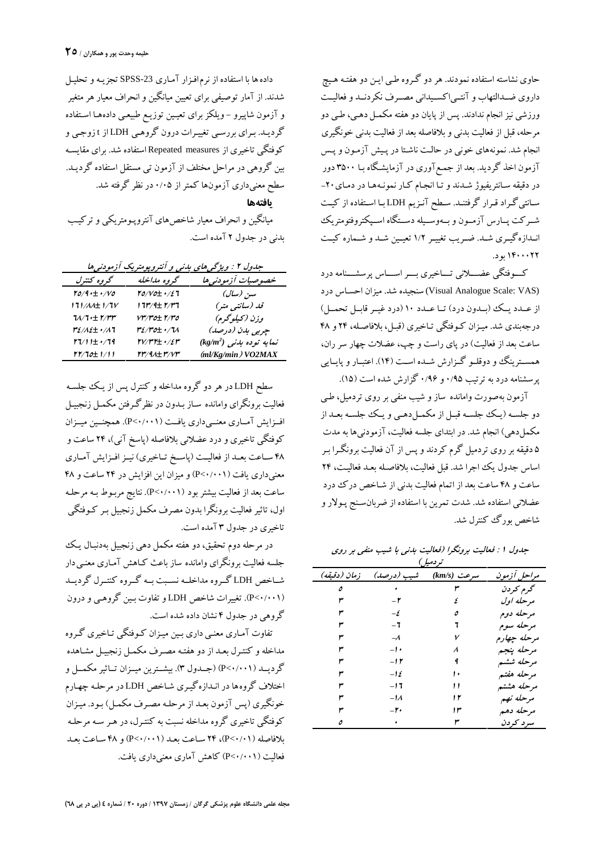حاوی نشاسته استفاده نمودند. هر دو گـروه طـی ایـن دو هفتـه هـیچ داروي ضــدالتهاب و آنتــیاکســیدانی مصــرف نکردنــد وفعالیــت ورزشی نیز انجام ندادند. پس از پایان دو هفته مکمـل دهـی، طـی دو مرحله، قبل از فعالیت بدنی و بلافاصله بعد از فعالیت بدنی خونگیري انجام شد. نمونههاي خونی در حالـت ناشـتا در پـ یش آزمـون وپـس آزمون اخذ گردید. بعد از جمـع آوری در آزمایشـگاه بـا ۳۵۰۰ دور<br>در دقیقه سـانتریفیوژ شـدند و تـا انجـام کـار نمونـههـا در دمـای ۲۰-سـانتیگـراد قـرار گرفتنـد. سـطح آنـزیم LDH بـا اسـتفاده از کیـت شــرکت پــارس آزمــون و بــهوســیله دســتگاه اســپکتروفتومتریک انــدازهگیــري شــد. ضــریب تغییــر 1/2 تعیــین شــد وشــماره کیــت 1400022 بود.

کـــوفتگی عضـــلانی تـــاخیري بـــراســـاس پرسشـــنامه درد (VAS :Scale Analogue Visual (سنجیده شد. میزان احسـاس درد از عــدد یــک (بــدون درد) تــا عــدد 10 (درد غیــرقابــل تحمــل) درجهبندی شد. میـزان کـوفتگی تـاخیری (قبـل، بلافاصـله، ۲۴ و ۴۸ ساعت بعد از فعالیت) در پايراست و چپ، عضلات چهار سرران، همســترینگ وو دوقلــو گــزارش شــده اســت (۱۴). اعتبــار و پایــایی پرسشنامه درد به ترتیب ۰/۹۵ و ۰/۹۶ گزارش شده است (۱۵).<br>آزمون بهصورت وامانده ساز و شیب منفی بر روی تردمیل، طـی

دو جلسـه (یـک جلسـه قبـل از مکمـلدهـی و یـک جلسـه بعـد از مکملدهی) انجام شد. در ابتداي جلسه فعالیت، آزمودنیها به مدت 5 دقیقه برروي تردمیل گرم کردند وپس از آن فعالیت برونگـرا بـر اساس جدول یک اجرا شد. قبل فعالیت، بلافاصـله بعـد فعالیـ ت، 24 ساعت و 48 ساعت بعد از اتمام فعالیت بدنی ازشـاخص درك درد عضلانی استفاده شد. شدت تمرین با استفاده از ضربانسـنج پـولار و شاخص بورگ کنترل شد.

*جدول <sup>1</sup> : فعالیت برونگرا (فعالیت بدنی با شیب منفی بر روي تردمیل) مراحل آزمون سرعت(s/km (شیب (درصد) زمان (دقیقه) گرم کردن <sup>3</sup> <sup>0</sup> <sup>5</sup> مرحله اول <sup>4</sup> -2 <sup>3</sup> مرحله دوم <sup>5</sup> -4 <sup>3</sup> مرحله سوم <sup>6</sup> -6 <sup>3</sup> مرحله چهارم <sup>7</sup> -8 <sup>3</sup> مرحله پنجم <sup>8</sup> -10 <sup>3</sup> مرحله ششم <sup>9</sup> -12 <sup>3</sup> مرحله هفتم <sup>10</sup> -14 <sup>3</sup> مرحله هشتم <sup>11</sup> -16 <sup>3</sup>*

*مرحله نهم <sup>12</sup> -18 <sup>3</sup>*

*مرحله دهم <sup>13</sup> -20 <sup>3</sup> سرد کردن <sup>3</sup> <sup>0</sup> <sup>5</sup>*

داده ها با استفاده از نرم|فـزار آمـاری SPSS-23 تـجزیــه و تحلیــل<br>شدند. از آمار توصیفی برای تعیین میانگین و انحراف معیار هر متغیر و آزمون شاپیرو – ویلکز برای تعیـین توزیـع طبیعـی دادههـا اسـتفاده گردیـد. بـراي بررسـي تغييـرات درون گروهـي LDH از t زوجـي و کوفتگی تاخیري از measures Repeated استفاده شد. براي مقایسـه بین گروهی در مراحل مختلف از آزمون تی مستقل استفاده گردیـ د. سطح معنیداري آزمونها کمتراز 0/05 در نظر گرفته شد. **یافتهها** میانگین وانحراف معیار شاخصهاي آنتروپـومتر یکی و ترکیـ ب

بدنی در جدول 2 آمده است.

| جدول ۲ : ویژگی های بدنی و آنتروپومتریک آزمودنی ها |                                                                           |                            |  |  |  |
|---------------------------------------------------|---------------------------------------------------------------------------|----------------------------|--|--|--|
| گروه کنترل                                        | گروه مداخله                                                               | خصوصيات أزمودني ها         |  |  |  |
| $6/9 \cdot \pm \cdot / V$ o                       | $10/V$ o $\pm$ $\cdot$ /27                                                | سىز (سال)                  |  |  |  |
| 171 <i>/AA</i> ±1/7V                              | 1 71% 1± 1%77                                                             | قلہ (سانتبی متر)           |  |  |  |
| $11/1 \pm 1/11$                                   |                                                                           | وزن (کیلوگرم)              |  |  |  |
| re/ae± •/a7                                       | <u>۳٤/۳٥+</u> ۰/٦٨                                                        | چربی بدن (درصد)            |  |  |  |
| rvi 1± •⁄79                                       | $\mathsf{r}\mathsf{v}/\mathsf{r}\mathsf{r}$ $\pm$ $\cdot$ /2 $\mathsf{r}$ | $(kg/m^2)$ نمایه توده بدنی |  |  |  |
| 11/10±1/11                                        | <u>rr/91+r/vr</u>                                                         | (ml/Kg/min) VO2MAX         |  |  |  |

سطح LDH در هردو گروه مداخلهو کنترل پس از یـ ک جلسـه فعالیت برونگراي وامانده سـاز بـدون در نظرگـرفتن مکمـل زنجبیـ ل افــزایش آمــاري معنــیداري یافــت (0/001>P(. همچنــین میــزان کوفتگی تاخیري و درد عضلانی بلافاصله (پاسخ آنی)، 24 ساعت و 48 ســاعت بعــد از فعالیــت (پاســخ تــاخیري) نیــزافــزایش آمــاري معنیداري یافت (0/001>P (و میزان این افزایش در 24 ساعت و 48 ساعت بعد از فعالیت بیشتر بود (P<۰/۰۰۱). نتایج مربـوط بـه مرحلـه<br>اول، تاثیر فعالیت برونگرا بدون مصرف مکمل زنجبیل بـر کـوفتگی تاخیري در جدول 3 آمده است.

در مرحله دوم تحقیق، دو هفته مکمل دهی زنجبیل بهدنبـال یـ ک جلسه فعالیت برونگراي وامانده ساز باعث كـاهش آمـاري معنـي دار شــاخص LDH گــروه مداخلــه نســبت بــه گــروه کنتــرل گردیــد (0/001>P(. تغییرات شاخص LDH و تفاوت بـ ین گروهـ ی و درون گروهی در جدول 4 نشان داده شده است.

تفاوت آمـاري معنـي داري بـين ميـزان كـوفتگي تـاخيري گـروه مداخلهو کنتـرل بعـد از دو هفتـه مصـرف مکمـل زنجبیـ ل مشـاهده گردیــد (0/001>P) (جــدول 3). بیشــترین میــزان تــاثیر مکمــل و اختلاف گروهها در انـدازه گیـ ري شـاخص LDH در مرحلـه چهـارم خونگیري (پس آزمون بعـد از مرحلـه مصـرف مکمـل) بـود. میـ زان کوفتگی تاخیري گروه مداخله نسبت به کنتـرل ، در هـر سـه مرحلـه بلافاصله (0/01>P(، 24 سـاعت بعـد (0/001>P(و 48 سـاعت بعـد فعالیت (0/001>P (کاهش آماري معنیداري یافت.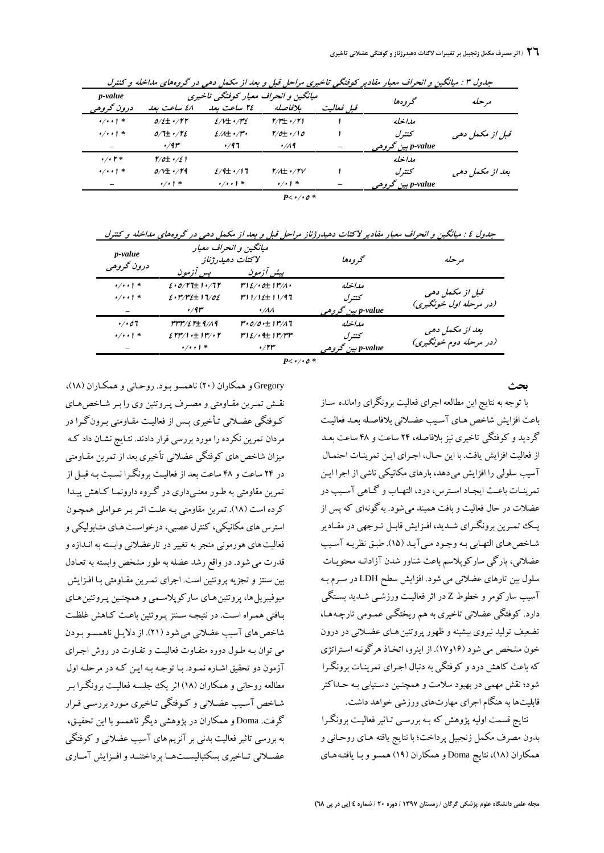|                 |                   | میانگین و انحراف معیار کوفتگی تاخیری | p-value                                                                                                                                     |                                                    |                                                              |                                |
|-----------------|-------------------|--------------------------------------|---------------------------------------------------------------------------------------------------------------------------------------------|----------------------------------------------------|--------------------------------------------------------------|--------------------------------|
| مر حله          | گر و هفا          | قبا فعالت                            | بلافاصله                                                                                                                                    | ٢٤ ساعت بعد                                        | ٤٨ ساعت بعد                                                  | درون گروهه                     |
|                 | مداخله            |                                      | $\frac{1}{2}$ $\frac{1}{2}$ $\frac{1}{2}$ $\frac{1}{2}$ $\frac{1}{2}$ $\frac{1}{2}$ $\frac{1}{2}$ $\frac{1}{2}$ $\frac{1}{2}$ $\frac{1}{2}$ | $2/V \pm 1/V$                                      | $0/\ell \pm 1/\Gamma \Gamma$                                 | $\cdot/\cdot\cdot$ ) *         |
| قبل از مکمل دهی | ىتتىرل            |                                      | $\frac{1}{6}$ $\cdot$ /10                                                                                                                   | $\mathcal{E}/\mathcal{A}\pm\cdot/\mathcal{F}\cdot$ | $0/\mathbf{H}$ $\cdot$ / $\mathbf{V}$ $\mathbf{\mathcal{E}}$ | $\cdot/\cdot\cdot$ ) *         |
|                 | p-value ہین گروھی |                                      | $\cdot$ /19                                                                                                                                 | 4/97                                               | 4/11                                                         | -                              |
|                 | مداخله            |                                      |                                                                                                                                             |                                                    | $\frac{1}{2}$                                                | $\cdot$ / $\cdot$ $\uparrow$ * |
| بعد از مکمل دهی | ىتترل             |                                      | $\gamma/\gamma$ + $\gamma/\gamma$                                                                                                           | $2/4$ + $/17$                                      | $0/V \pm 1/V$                                                | $\cdot/\cdot\cdot$ ) *         |
|                 | p-value بين گروهي |                                      | $\frac{1}{2}$ / + 1 $\frac{1}{2}$                                                                                                           | $\cdot$ / $\cdot$ $\cdot$ $\cdot$                  | $\cdot / \cdot$   *                                          |                                |

جدول ۳ : ميانگين و انحراف معيار مقادير كوفتگي تاخيري مراحل فيل و بعد از مكمل دهي در گروه هاي مداخله و كنترل

 $P< 0.004$ 

جدول ٤ : میانگین و انحراف معیار مقادیر لاکتات دهیدرژناز مراحل قبل و بعد از مکمل دهی در گروههای مداخله و کنترل

| p-value<br>درون گروهی  | ميانگين و انحراف معيار<br>لاكتات دهيدرژناز |                                             | محمر وه ها        | مرحله                  |  |
|------------------------|--------------------------------------------|---------------------------------------------|-------------------|------------------------|--|
|                        | پس آزمون                                   | پیش آزمون                                   |                   |                        |  |
| $\cdot/\cdot\cdot$ ) * | $2.0/T$ t $+1.77$                          | $r_{1\ell}/\cdot c_{\pm}$ $r_{1\ell}/\cdot$ | مداخله            |                        |  |
| $\cdot/\cdot\cdot$ ) * | $2.1772 \pm 1702$                          | $r11/12 \pm 11/97$                          | كتترل             | قبل از مکمل دهی        |  |
|                        | $\cdot$ /91 $^{\circ}$                     | $\cdot/\lambda\lambda$                      | p-value بين گروهي | (در مرحله اول خونگیری) |  |
| $\cdot/\cdot$ 07       | rrr/ $\epsilon$ r $\pm$ 9/19               | ۳۰ <i>۵/0۰</i> ±۱۳/۸7                       | مداخله            |                        |  |
| $\cdot/\cdot\cdot$ ) * | $257/1 \pm 11/1$                           | $r\gamma_{\ell}/\cdot$ a $r\gamma_{\ell}$   | كتترل             | بعد از مکمل دهی        |  |
|                        | $\cdot/\cdot\cdot$ ) *                     | $\cdot$ /۲۳                                 | p-value بين گروهي | (در مرحله دوم خونگیری) |  |
|                        |                                            |                                             |                   |                        |  |

 $P < 0.004$ 

**بحث**

با توجه به نتایج این مطالعه اجراي فعالیت برونگراي وامانده سـاز باعث افزایش شاخصهـا ي آسـیب عضـلانی بلافاصـله بعـد فعالیـ ت گردید وکوفتگی تاخیري نیزبلافاصله، 24 ساعت و 48 ساعت بعـد از فعالیت افزایش یافت. با این حـال، اجـراي ایـن تمرینـات احتمـال آسیب سلولی را افزایش میدهد، بارهاي مکانیکی ناشی از اجرا ایـ ن تمرینـات باعـث ایجـاد اسـترس، درد، التهـاب و گـاهی آســیب در عضلات در حال فعالیت و بافت همبند میشود. بهگونهای که پس از<br>یـک تمـرین برونگــرای شــدید، افـزایش قابــل تـوجهی در مقــادیر شـاخص هـاي التهـابي بـه وجـود مـي آيـد (١٥). طبـق نظريـه آسـيب عضلانی، پارگی سارکوپلاسم باعث شناور شدن آزادانـه محتویـات سلول بین تارهاي عضلانی میشود. افزایش سطح LDH در سـرم بـه آسیب سارکومرو خطوط Z در اثرفعالیـت ورزشـی شـدید بسـتگی دارد. کوفتگی عضلانی تاخیري به هم ریختگـ ی عمـوم ی تارچـه هـا، تضعیف تولید نیروي بیشینهو ظهور پروتئینهـاي عضـلان ی در درون خون مشخص میشود (16و17). از اینرو، اتخـاذ هرگونـه اسـتراتژ ي که باعث کاهش درد و کوفتگی به دنبال اجـرای تمرینـات برونگـرا شود؛ نقش مهمی در بهبود سلامت و همچنـ ین دسـت یابی بـه حـداکثر قابلیتها به هنگام اجراي مهارتهاي ورزشی خواهد داشت.

نتایج قسمت اولیه پژوهش که بـه بررسـی تـاثیر فعالیـت برونگـرا بدون مصرف مکمل زنجبیل پرداخت؛ با نتایج یافته هـای روحـانی و همکاران (18)، نتایجDoma و همکاران (19) همسو وبـا یافتـه هـا ي

Gregory و همکاران (20) ناهمسو بـود. روحـان ی و همکـاران (18)، نقـش تمـرین مقـاومتی و مصـرف پـروتئین وي را بـر شـاخصهـاي کـوفتگی عضـلانی تـأخیری پـس از فعالیـت مقـاومتی بـرون گـرا در مردان تمرین نکرده را مورد بررسی قرار دادند. نتـایج نشـان داد کـه<br>میزان شاخص های کوفتگی عضلانی تأخیری بعد از تمرین مقـاومتی<br>در ۲۴ ساعت و ۴۸ ساعت بعد از فعالیـت برونگـرا نسـبت بـه قبـل از تمرین مقاومتی به طـور معنـ یداري در گـروه دارونمـا کـاهش پیـ دا کرده است (18). تمرین مقاومتی بـه علـت اثـر بـر عـوامل ی همچـون استرس هاي مکانیکی، کنترل عصبي، درخواست هـاي متـابوليکي و فعالیت های هورمونی منجر به تغییر در تارعضلانی وابسته به انـدازه و قدرت می شود. در واقع رشد عضله به طور مشخص وابسته به تعـادل بین سنتز و تجزیه پروتئین است. اجرای تمـرین مقـاومتی بـا افـزایش میوفیبریل ها، پروتئین هـای سارکوپلاسـمی و همچنـین پـروتئین هـای<br>مافتی همـراه اسـت. در نتیجـه سـنتز یـروتئین باعـث کـاهش غلظـت شاخص هاي آسيب عضلاني مي شود (٢١). از دلايـل ناهمسـو بـودن می توان بـه طـول دوره متفـاوت فعالیـت و تفـاوت در روش اجـرای<br>آزمون دو تحقیق اشـاره نمـود. بـا توجـه بـه ايـن کـه در مرحلـه اول مطالعه روحانی و همکاران (18) اثریک جلسـه فعالیـ ت برونگـرا بـر شـاخص آسـیب عضـلانی وکـوفتگی تـاخیري مـورد بررسـی قـرار گرفت. Doma و همکاران در پژوهشی دیگر ناهمسو با این تحقیـق،<br>به بررسی تاثیر فعالیت بدنی بر آنزیـم های آسیب عضلانی و کوفتگی عضــلانی تــاخیري بسکتبالیســتهــا پرداختنــد وافــزایش آمــاري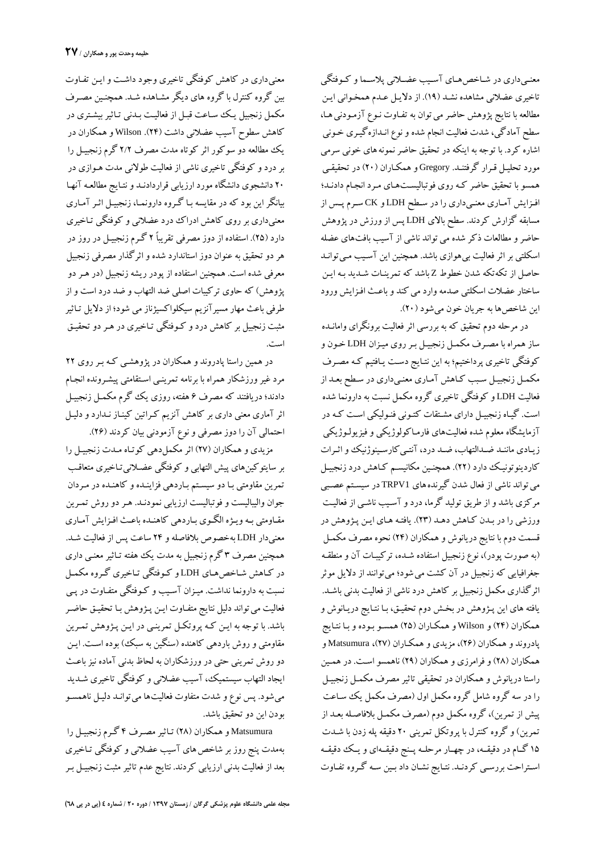معنـیداري در شـاخصهـاي آسـیب عضـلانی پلاسـماو کـوفتگی تاخیری عضلانی مشاهده نشـد (١٩). از دلایـل عـدم همخـوانی ایـن مطالعه با نتایج پژوهش حاضر می توان به تفـاوت نـوع آزمـودنی هـا،<br>سطح آمادگی، شدت فعالیت انجام شده و نوع انـدازهگیـری خـونی<br>اشاره کرد. با توجه به اینکه در تحقیق حاضر نمونه های خونی سرمی<br>مورد تحلیـل قـرار گرفتنـد. Gregory و همسو با تحقیق حاضر کـه روي فوتبالیسـت هـاي مـرد انجـام دادنـد؛ افـزایش آمـاري معنـیداري را در سـطح LDH و CK سـرم پـس از مسابقه گزارش کردند. سطح بالای LDH پس از ورزش در پژوهش حاضرو مطالعات ذکر شده میتواند ناشی از آسیب بافتهاي عضله اسکلتی بر اثر فعالیت بی هوازی باشد. همچنین این آسـیب مـی توانـد حاصل از تکهتکه شدن خطوط Z باشد که تمرینـات شـد ید بـه ایـ ن ساختار عضلات اسکلتی صدمه وارد می کند و باعـث افـزايش ورود این شاخصها به جریان خون میشود (٢٠).

در مرحله دوم تحقیق که به بررسی اثرفعالیت برونگراي وامانـده ساز همراه با مصـرف مکمـل زنجبیـل بـر روي میـزان LDH خـون و کوفتگی تاخیري پرداختیم؛ به این نتـا یج دسـت یـ افتیم کـه مصـرف مکمـل زنجبيـل سـبب کـاهش آمـاري معنـيداري در سـطح بعـد از فعالیت LDH وکوفتگی تاخیري گروه مکمل نسبت به دارونما شده است. گیـاه زنجبیـل دارای مشـتقات کتـونی فنـولیکی اسـت کـه در آزمایشگاه معلوم شده فعالیتهاي فارمـاکولوژیکی و فیزیولـوژیکی زیـادي ماننـد ضـدالتهاب، ضـد درد، آنتـیکارسـینوژنیک واثـرات کاردینوتونیـک دارد (۲۲). همچنـین مکانیســم کــاهش درد زنجبیـل<br>می تواند ناشی از فعال شدن گیرندههای TRPV1 در سیسـتم عصـبی<br>مرکزی باشد و از طریق تولید گرما، درد و آسـیب ناشـی از فعالیـت ورزشی را در بـدن کـاهش دهـد (٢٣). یافتـه هـای ایـن پـژوهش در قسمت دوم با نتایج دریانوش و همکاران (24) نحوه مصرف مکمـل (به صورت پودر)، نوع زنجبیل استفاده شـده ، ترکیبـات آن و منطقـه جغرافیایی که زنجبیل در آن کشت میشود؛ میتوانند از دلایل موثر اثرگذاري مکمل زنجبیل بر کاهش درد ناشی از فعالیت بدنی باشـد. یافته هاي این پـژوهش در بخـش دوم تحقیـ ق، بـا نتـا یج دریـ انوش و همکاران (24)و Wilson و همکـاران (25) همسـو بـوده وبـا نتـا یج پادروند و همکاران (26)، مزیدي و همکـاران (27)، Matsumura و همکاران (28)وفرامرزي و همکاران (29) ناهمسو اسـت. در همـ ین راستا دریانوش و همکاران در تحقیقی تاثیرمصرف مکمـل زنجبیـ ل را در سه گروه شامل گروه مکمل اول (مصرف مکمل یک سـاعت پیش از تمرین)، گروه مکمل دوم (مصرف مکمـل بلافاصـله بعـد از تمرین)و گروه کنترل با پروتکل تمرینی 20 دقیقه پله زدن با شـدت 15 گــام در دقیقــه، در چهــار مرحلــه پــنج دقیقــهاي ویــک دقیقــه اسـتراحت بررسـی کردنـد. نتـایج نشـان داد بـین سـه گـروه تفـاوت

معنیداري در کاهش کوفتگی تاخیري وجود داشـت وایـ ن تفـاوت بین گروه کنترل با گروه هاي دیگر مشـاهده شـد. همچنـ ین مصـرف مکمل زنجبیل یـک سـاعت قبـل از فعالیـت بـدنی تـاثیر بیشـتری در کاهش سطوح آسیب عضلانی داشت (24). Wilson و همکاران در یک مطالعه دو سوکور اثر کوتاه مدت مصرف 2/2 گرم زنجبیـ ل را بردردو کوفتگی تاخیري ناشی از فعالیت طولانی مدت هـواز ي در 20 دانشجوي دانشگاه مورد ارزیابی قراردادنـد ونتـا یج مطالعـه آنهـا بیانگراین بود که در مقایسه بـا گـروه دارونمـا ، زنجبیـ ل اثـر آمـاري معنیداری بر روی کاهش ادراک درد عضلانی و کوفتگی تـاخیری دارد (25). استفاده از دوز مصرفی تقریباً 2 گـرم زنجبیـ ل در روز در هردو تحقیق به عنوان دوز استاندارد شدهو اثرگذار مصرفی زنجبیل معرفی شده است. همچنین استفاده از پودر ریشه زنجبیل (در هـر دو پژوهش) که حاوی ترکیبات اصلی ضد التهاب و ضد درد است و از<br>طرفی باعث مهار مسیرآنزیم سیکلواکسیژناز می شود؛ از دلایل تـاثیر مثبت زنجبیل بر کاهش درد و کـوفتگی تـاخیری در هـر دو تحقیـق است.

در همین راستا پادروند و همکاران در پژوهشـ ی کـه بـر روي 22 مرد غیر ورزشکار همراه با برنامه تمرینـی اسـتقامتی پیشـرونده انجـام دادند؛ دریافتند که مصرف ۶ هفته، روزی یک گرم مکمـل زنجبیـل اثر آماری معنی داری بر کاهش آنزیم کـراتین کینـاز نـدارد و دلیـل احتمالی آن را دوز مصرفی و نوع آزمودنی بیان کردند (26).

مزیدي و همکاران (27) اثر مکملدهی کوتـاه مـدت زنجبیـل را بر سایتوکینهاي پیش التهابی وکوفتگی عضـلان یتـاخیري متعاقـب تمرین مقاومتی بـا دو سیسـتم بـاردهی فزاینـده و کاهنـده در مـردان جوان والیبالیست وفوتبالیست ارزیابی نمودنـد. هـر دو روش تمـرین مقـاومتی بـهویـژه الگـوي بـاردهی کاهنـده باعـث افـزایش آمـاري معنیدار LDH بهخصوص بلافاصله و ۲۴ ساعت پس از فعالیت شـد. همچنین مصرف 3 گرم زنجبیل به مدت یک هفته تـاث یرمعنـ ی داري در کـاهش شـاخص.هـای LDH و کـوفتگی تـاخیری گـروه مکمـل<br>نسبت به دارونما نداشت. میـزان آسـیب و کـوفتگی متفـاوت در پـی فعالیت می تواند دلیل نتایج متفـاوت ایـن پـژوهش بـا تحقیـق حاضـر باشد. با توجه به ایـن کـه پروتکـل تمرینـی در ایـن پـژوهش تمـرین مقاومتی و روش باردهی کاهنده (سنگین به سبک) بوده اسـت. ایـن دو روش تمرینی حتی در ورزشکاران به لحاظ بدنی آماده نیز باعـث ایجاد التهاب سیستمیک، آسیب عضلانی و کوفتگی تاخیری شـدید میشود. پس نوع و شدت متفاوت فعالیتها میتوانـد دلیـ ل ناهمسـو بودن این دو تحقیق باشد.

Matsumura و همکاران (٢٨) تـاثير مصـرف ۴ گـرم زنجبيـل را بهمدت پنج روز بر شاخص های آسیب عضلانی و کوفتگی تـاخیری بعد از فعالیت بدنی ارزیابی کردند. نتایج عدم تاثیر مثبت زنجبیـل بـر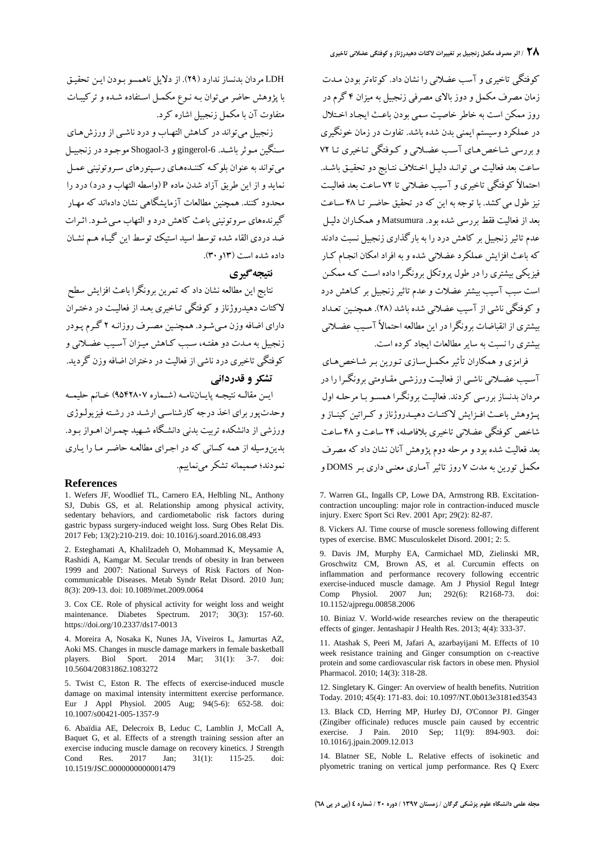کوفتگی تاخیري و آسب عضلانی را نشان داد. کوتاهتربودن مـدت زمان مصرف مکمل و دوز بالاي مصرفی زنجبیل به میزان 4 گرم در روز ممکن است به خاطر خاصیت سمی بودن باعـث ایجـاد اخـتلال در عملکردوسیستم ایمنی بدن شده باشد. تفاوت در زمان خونگیري و بررسی شـاخص هـای آسـب عضـلانی و کـوفتگی تـاخیری تـا ٧٢ ساعت بعد فعالیت می توانـد دلیـل اخـتلاف نتـایج دو تحقیـق باشـد. احتمالاً کوفتگی تاخیري و آسیب عضلانی تا 72 ساعت بعد فعالیـ ت نیز طول می کشد. با توجه به این که در تحقیق حاضـر تـا ۴۸ سـاعت بعد از فعالیت فقط بررسی شده بود. Matsumura و همکـاران دلیـ ل عدم تاثیر زنجبیل بر کاهش درد را به بارگذاری زنجبیل نسبت دادند که باعث افزایش عملکرد عضلانی شدهوبه افراد امکان انجـام کـار فیزیکی بیشتري را در طول پروتکل برونگـرا داده اسـت کـه ممکـن است سبب آسیب بیشتر عضلات و عدم تاثیرزنجبیل بر کـاهش درد و کوفتگی ناشی از آسیب عضلانی شده باشد (۲۸). همچنـین تعـداد<br>بیشتری از انقباضات برونگرا در این مطالعه احتمالاً آسـیب عضـلانی بیشتري را نسبت به سایر مطالعات ایجاد کرده است.

فرامزي و همکاران تأثیر مکمـل سـاز ي تـور ین بـر شـاخص هـا ي آسـیب عضـلانی ناشـی از فعالیـت ورزشـی مقـاومتی برونگـرا را در مردان بدنساز بررسی کردند. فعالیـ ت برونگـرا همسـو بـا مرحلـه اول پــژوهش باعــث افــزایشلاکتــات دهیــدروژنازو کــراتین کینــازو شاخص کوفتگی عضلانی تاخیري بلافاصله، 24 ساعت و 48 ساعت بعد فعالیت شده بودو مرحله دوم پژوهش آنان نشان داد که مصرف مکمل تورین به مدت 7 روز تاثیر آمـار ي معنـ ی داري بـر DOMS و

7. Warren GL, Ingalls CP, Lowe DA, Armstrong RB, Excitationcontraction uncoupling: major role in contraction-induced muscle injury. Exerc Sport Sci Rev. 2001 Apr; 29(2): 82-87.

8. Vickers AJ. Time course of muscle soreness following different types of exercise. BMC Musculoskelet Disord. 2001; 2: 5.

9. Davis JM, Murphy EA, Carmichael MD, Zielinski MR, Groschwitz CM, Brown AS, et al. Curcumin effects on inflammation and performance recovery following eccentric exercise-induced muscle damage. Am J Physiol Regul Integr Comp Physiol. 2007 Jun; 292(6): R2168-73. doi: 10.1152/ajpregu.00858.2006

10. Biniaz V. World-wide researches review on the therapeutic effects of ginger. Jentashapir J Health Res. 2013; 4(4): 333-37.

11. Atashak S, Peeri M, Jafari A, azarbayijani M. Effects of 10 week resistance training and Ginger consumption on c-reactive protein and some cardiovascular risk factors in obese men. Physiol Pharmacol. 2010; 14(3): 318-28.

12. Singletary K. Ginger: An overview of health benefits. Nutrition Today. 2010; 45(4): 171-83. doi: 10.1097/NT.0b013e3181ed3543

13. Black CD, Herring MP, Hurley DJ, O'Connor PJ. Ginger (Zingiber officinale) reduces muscle pain caused by eccentric exercise. J Pain. 2010 Sep; 11(9): 894-903. doi: 10.1016/j.jpain.2009.12.013

14. Blatner SE, Noble L. Relative effects of isokinetic and plyometric traning on vertical jump performance. Res Q Exerc

LDH مردان بدنساز ندارد (29). از دلایل ناهمسو بـودن ایـ ن تحقیـ ق با پژوهش حاضرمیتوان بـه نـوع مکمـل اسـتفاده شـده و ترکیبـات متفاوت آن با مکمل زنجبیل اشاره کرد.

زنجبیل می تواند در کـاهش التهـاب و درد ناشـی از ورزشهـای سـنگین مـوثر باشـد. 5-gingerol و 3bogaol موجـود در زنجبیـل میتواند به عنوان بلوکـه کننـده هـا ي رسـپتورها ي سـروتون ینی عمـل نماید واز این طریق آزاد شدن ماده P) واسطه التهاب و درد) درد را محدود کنند. همچنین مطالعات آزمایشگاهی نشان دادهاند که مهـار گیرندههاي سروتونینی باعث کاهش دردو التهاب مـ یشـود . اثـرات ضد دردي القاء شده توسط اسید استیک توسط این گیـاه هـم نشـان داده شده است (13و30).

## **نتیجهگیري**

نتایج این مطالعه نشان داد که تمرین برونگرا باعث افزایش سطح لاکتات دهیدروژناز و کوفتگی تـاخیری بعـد از فعالیـت در دختـران داراي اضافه وزن مـي شـود. همچنـين مصـرف روزانـه ٢ گـرم پـودر زنجبیل به مـدت دو هفتـه، سـبب کـاهش میـ زان آسـ یب عضـلان ی و کوفتگی تاخیري درد ناشی از فعالیت در دختران اضافهوزن گردید. **تشکر و قدردانی**

ایــن مقالــه نتیجــه پایــاننامــه (شــماره 9542807) خــانم حلیمــه وحدتپور براي اخذ درجه کارشناسـی ارشـ د در رشـته فیزیولـوژ ي ورزشی از دانشکده تربیت بدنی دانشـگاه شـهید چمـران اهـواز بـود. بدین وسیله از همه کسانی که در اجـرای مطالعـه حاضـر مـا را یـاری نمودند؛ صمیمانه تشکر مینماییم.

### **References**

1. Wefers JF, Woodlief TL, Carnero EA, Helbling NL, Anthony SJ, Dubis GS, et al. Relationship among physical activity, sedentary behaviors, and cardiometabolic risk factors during gastric bypass surgery-induced weight loss. Surg Obes Relat Dis. 2017 Feb; 13(2):210-219. doi: 10.1016/j.soard.2016.08.493

2. Esteghamati A, Khalilzadeh O, Mohammad K, Meysamie A, Rashidi A, Kamgar M. Secular trends of obesity in Iran between 1999 and 2007: National Surveys of Risk Factors of Non communicable Diseases. Metab Syndr Relat Disord. 2010 Jun; 8(3): 209-13. doi: 10.1089/met.2009.0064

3. Cox CE. Role of physical activity for weight loss and weight maintenance. Diabetes Spectrum. 2017; 30(3): 157-60. https://doi.org/10.2337/ds17-0013

4. Moreira A, Nosaka K, Nunes JA, Viveiros L, Jamurtas AZ, Aoki MS. Changes in muscle damage markers in female basketball players. Biol Sport. 2014 Mar; 31(1): 3-7. doi: 10.5604/20831862.1083272

5. Twist C, Eston R. The effects of exercise-induced muscle damage on maximal intensity intermittent exercise performance. Eur J Appl Physiol. 2005 Aug; 94(5-6): 652-58. doi: 10.1007/s00421-005-1357-9

6. Abaïdia AE, Delecroix B, Leduc C,Lamblin J, McCall A, Baquet G, et al. Effects of a strength training session after an exercise inducing muscle damage on recovery kinetics. J Strength Cond Res. 2017 Jan; 31(1): 115-25. doi: 10.1519/JSC.0000000000001479